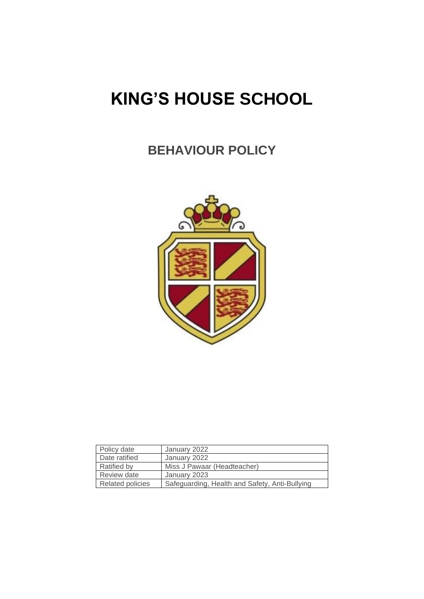# **KING'S HOUSE SCHOOL**

# **BEHAVIOUR POLICY**



| Policy date        | January 2022                                   |
|--------------------|------------------------------------------------|
| Date ratified      | January 2022                                   |
| <b>Ratified by</b> | Miss J Pawaar (Headteacher)                    |
| Review date        | January 2023                                   |
| Related policies   | Safeguarding, Health and Safety, Anti-Bullying |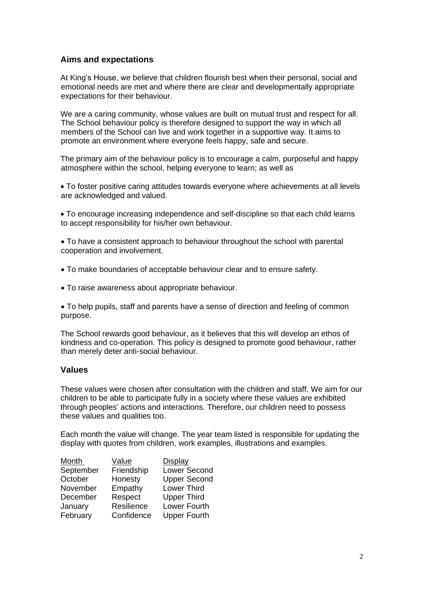# **Aims and expectations**

At King's House, we believe that children flourish best when their personal, social and emotional needs are met and where there are clear and developmentally appropriate expectations for their behaviour.

We are a caring community, whose values are built on mutual trust and respect for all. The School behaviour policy is therefore designed to support the way in which all members of the School can live and work together in a supportive way. It aims to promote an environment where everyone feels happy, safe and secure.

The primary aim of the behaviour policy is to encourage a calm, purposeful and happy atmosphere within the school, helping everyone to learn; as well as

• To foster positive caring attitudes towards everyone where achievements at all levels are acknowledged and valued.

• To encourage increasing independence and self-discipline so that each child learns to accept responsibility for his/her own behaviour.

• To have a consistent approach to behaviour throughout the school with parental cooperation and involvement.

- To make boundaries of acceptable behaviour clear and to ensure safety.
- To raise awareness about appropriate behaviour.

• To help pupils, staff and parents have a sense of direction and feeling of common purpose.

The School rewards good behaviour, as it believes that this will develop an ethos of kindness and co-operation. This policy is designed to promote good behaviour, rather than merely deter anti-social behaviour.

#### **Values**

These values were chosen after consultation with the children and staff. We aim for our children to be able to participate fully in a society where these values are exhibited through peoples' actions and interactions. Therefore, our children need to possess these values and qualities too.

Each month the value will change. The year team listed is responsible for updating the display with quotes from children, work examples, illustrations and examples.

| Month     | Value      | Display             |
|-----------|------------|---------------------|
| September | Friendship | <b>Lower Second</b> |
| October   | Honesty    | <b>Upper Second</b> |
| November  | Empathy    | <b>Lower Third</b>  |
| December  | Respect    | <b>Upper Third</b>  |
| January   | Resilience | Lower Fourth        |
| February  | Confidence | <b>Upper Fourth</b> |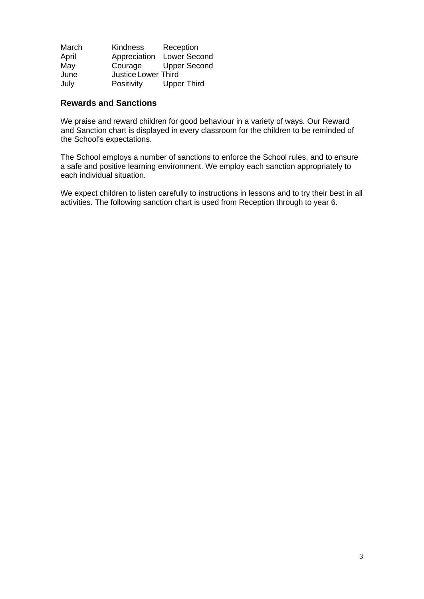| March | <b>Kindness</b>     | Reception           |
|-------|---------------------|---------------------|
| April | Appreciation        | <b>Lower Second</b> |
| May   | Courage             | <b>Upper Second</b> |
| June  | Justice Lower Third |                     |
| July  | Positivity          | <b>Upper Third</b>  |

## **Rewards and Sanctions**

We praise and reward children for good behaviour in a variety of ways. Our Reward and Sanction chart is displayed in every classroom for the children to be reminded of the School's expectations.

The School employs a number of sanctions to enforce the School rules, and to ensure a safe and positive learning environment. We employ each sanction appropriately to each individual situation.

We expect children to listen carefully to instructions in lessons and to try their best in all activities. The following sanction chart is used from Reception through to year 6.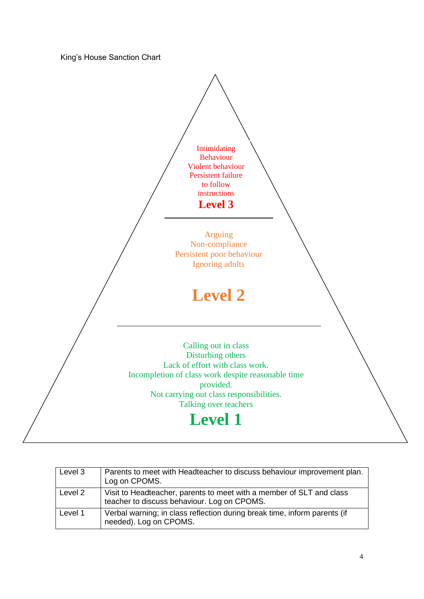King's House Sanction Chart



| Level 3 | Parents to meet with Headteacher to discuss behaviour improvement plan.<br>Log on CPOMS.                            |
|---------|---------------------------------------------------------------------------------------------------------------------|
| Level 2 | Visit to Headteacher, parents to meet with a member of SLT and class<br>teacher to discuss behaviour. Log on CPOMS. |
| Level 1 | Verbal warning; in class reflection during break time, inform parents (if<br>needed). Log on CPOMS.                 |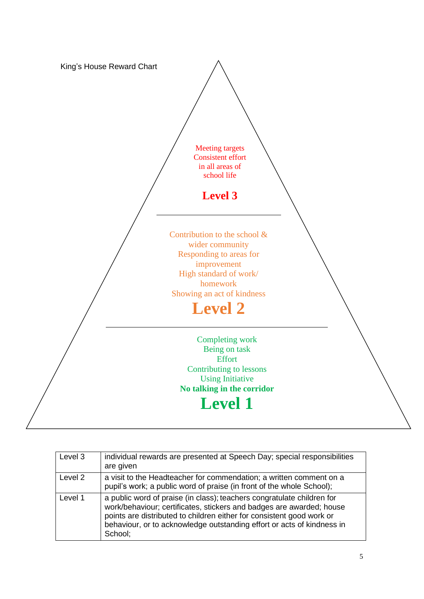

| Level 3 | individual rewards are presented at Speech Day; special responsibilities<br>are given                                                                                                                                                                                                                        |
|---------|--------------------------------------------------------------------------------------------------------------------------------------------------------------------------------------------------------------------------------------------------------------------------------------------------------------|
| Level 2 | a visit to the Headteacher for commendation; a written comment on a<br>pupil's work; a public word of praise (in front of the whole School);                                                                                                                                                                 |
| Level 1 | a public word of praise (in class); teachers congratulate children for<br>work/behaviour; certificates, stickers and badges are awarded; house<br>points are distributed to children either for consistent good work or<br>behaviour, or to acknowledge outstanding effort or acts of kindness in<br>School; |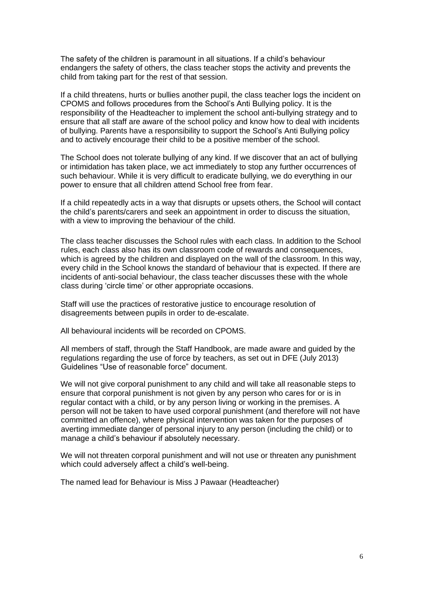The safety of the children is paramount in all situations. If a child's behaviour endangers the safety of others, the class teacher stops the activity and prevents the child from taking part for the rest of that session.

If a child threatens, hurts or bullies another pupil, the class teacher logs the incident on CPOMS and follows procedures from the School's Anti Bullying policy. It is the responsibility of the Headteacher to implement the school anti-bullying strategy and to ensure that all staff are aware of the school policy and know how to deal with incidents of bullying. Parents have a responsibility to support the School's Anti Bullying policy and to actively encourage their child to be a positive member of the school.

The School does not tolerate bullying of any kind. If we discover that an act of bullying or intimidation has taken place, we act immediately to stop any further occurrences of such behaviour. While it is very difficult to eradicate bullying, we do everything in our power to ensure that all children attend School free from fear.

If a child repeatedly acts in a way that disrupts or upsets others, the School will contact the child's parents/carers and seek an appointment in order to discuss the situation, with a view to improving the behaviour of the child.

The class teacher discusses the School rules with each class. In addition to the School rules, each class also has its own classroom code of rewards and consequences, which is agreed by the children and displayed on the wall of the classroom. In this way, every child in the School knows the standard of behaviour that is expected. If there are incidents of anti-social behaviour, the class teacher discusses these with the whole class during 'circle time' or other appropriate occasions.

Staff will use the practices of restorative justice to encourage resolution of disagreements between pupils in order to de-escalate.

All behavioural incidents will be recorded on CPOMS.

All members of staff, through the Staff Handbook, are made aware and guided by the regulations regarding the use of force by teachers, as set out in DFE (July 2013) Guidelines "Use of reasonable force" document.

We will not give corporal punishment to any child and will take all reasonable steps to ensure that corporal punishment is not given by any person who cares for or is in regular contact with a child, or by any person living or working in the premises. A person will not be taken to have used corporal punishment (and therefore will not have committed an offence), where physical intervention was taken for the purposes of averting immediate danger of personal injury to any person (including the child) or to manage a child's behaviour if absolutely necessary.

We will not threaten corporal punishment and will not use or threaten any punishment which could adversely affect a child's well-being.

The named lead for Behaviour is Miss J Pawaar (Headteacher)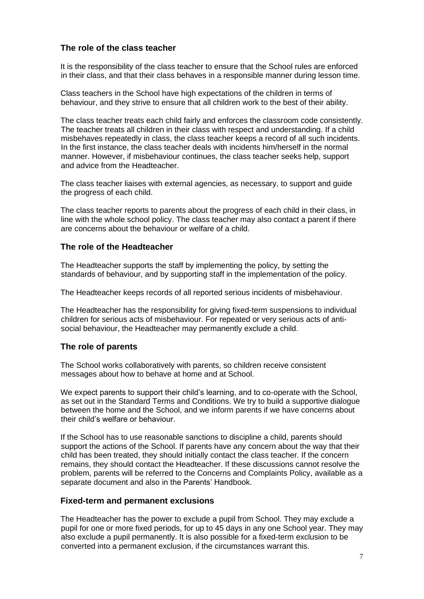# **The role of the class teacher**

It is the responsibility of the class teacher to ensure that the School rules are enforced in their class, and that their class behaves in a responsible manner during lesson time.

Class teachers in the School have high expectations of the children in terms of behaviour, and they strive to ensure that all children work to the best of their ability.

The class teacher treats each child fairly and enforces the classroom code consistently. The teacher treats all children in their class with respect and understanding. If a child misbehaves repeatedly in class, the class teacher keeps a record of all such incidents. In the first instance, the class teacher deals with incidents him/herself in the normal manner. However, if misbehaviour continues, the class teacher seeks help, support and advice from the Headteacher.

The class teacher liaises with external agencies, as necessary, to support and guide the progress of each child.

The class teacher reports to parents about the progress of each child in their class, in line with the whole school policy. The class teacher may also contact a parent if there are concerns about the behaviour or welfare of a child.

## **The role of the Headteacher**

The Headteacher supports the staff by implementing the policy, by setting the standards of behaviour, and by supporting staff in the implementation of the policy.

The Headteacher keeps records of all reported serious incidents of misbehaviour.

The Headteacher has the responsibility for giving fixed-term suspensions to individual children for serious acts of misbehaviour. For repeated or very serious acts of antisocial behaviour, the Headteacher may permanently exclude a child.

# **The role of parents**

The School works collaboratively with parents, so children receive consistent messages about how to behave at home and at School.

We expect parents to support their child's learning, and to co-operate with the School, as set out in the Standard Terms and Conditions. We try to build a supportive dialogue between the home and the School, and we inform parents if we have concerns about their child's welfare or behaviour.

If the School has to use reasonable sanctions to discipline a child, parents should support the actions of the School. If parents have any concern about the way that their child has been treated, they should initially contact the class teacher. If the concern remains, they should contact the Headteacher. If these discussions cannot resolve the problem, parents will be referred to the Concerns and Complaints Policy, available as a separate document and also in the Parents' Handbook.

#### **Fixed-term and permanent exclusions**

The Headteacher has the power to exclude a pupil from School. They may exclude a pupil for one or more fixed periods, for up to 45 days in any one School year. They may also exclude a pupil permanently. It is also possible for a fixed-term exclusion to be converted into a permanent exclusion, if the circumstances warrant this.